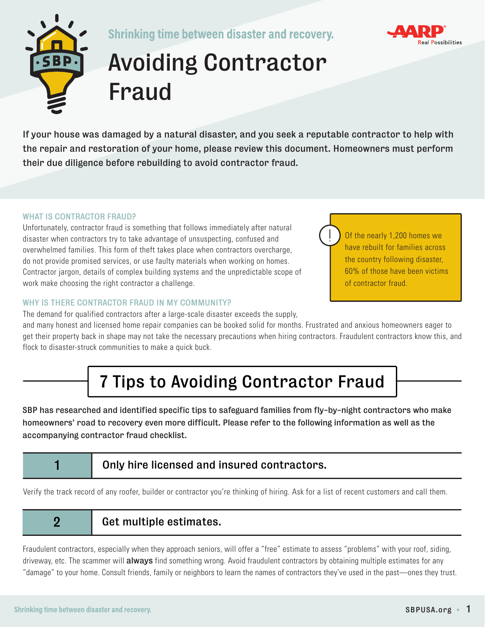

**Shrinking time between disaster and recovery.** 



# Avoiding Contractor Fraud

If your house was damaged by a natural disaster, and you seek a reputable contractor to help with the repair and restoration of your home, please review this document. Homeowners must perform their due diligence before rebuilding to avoid contractor fraud.

#### WHAT IS CONTRACTOR FRAUD?

Unfortunately, contractor fraud is something that follows immediately after natural disaster when contractors try to take advantage of unsuspecting, confused and overwhelmed families. This form of theft takes place when contractors overcharge, do not provide promised services, or use faulty materials when working on homes. Contractor jargon, details of complex building systems and the unpredictable scope of work make choosing the right contractor a challenge.

The demand for qualified contractors after a large-scale disaster exceeds the supply,

#### WHY IS THERE CONTRACTOR FRAUD IN MY COMMUNITY?

Of the nearly 1,200 homes we have rebuilt for families across the country following disaster, 60% of those have been victims of contractor fraud.

and many honest and licensed home repair companies can be booked solid for months. Frustrated and anxious homeowners eager to get their property back in shape may not take the necessary precautions when hiring contractors. Fraudulent contractors know this, and flock to disaster-struck communities to make a quick buck.

## 7 Tips to Avoiding Contractor Fraud

SBP has researched and identified specific tips to safeguard families from fly-by-night contractors who make homeowners' road to recovery even more difficult. Please refer to the following information as well as the accompanying contractor fraud checklist.

#### 1 **1** Only hire licensed and insured contractors.

Verify the track record of any roofer, builder or contractor you're thinking of hiring. Ask for a list of recent customers and call them.

2 | Get multiple estimates.

Fraudulent contractors, especially when they approach seniors, will offer a "free" estimate to assess "problems" with your roof, siding, driveway, etc. The scammer will always find something wrong. Avoid fraudulent contractors by obtaining multiple estimates for any "damage" to your home. Consult friends, family or neighbors to learn the names of contractors they've used in the past—ones they trust.